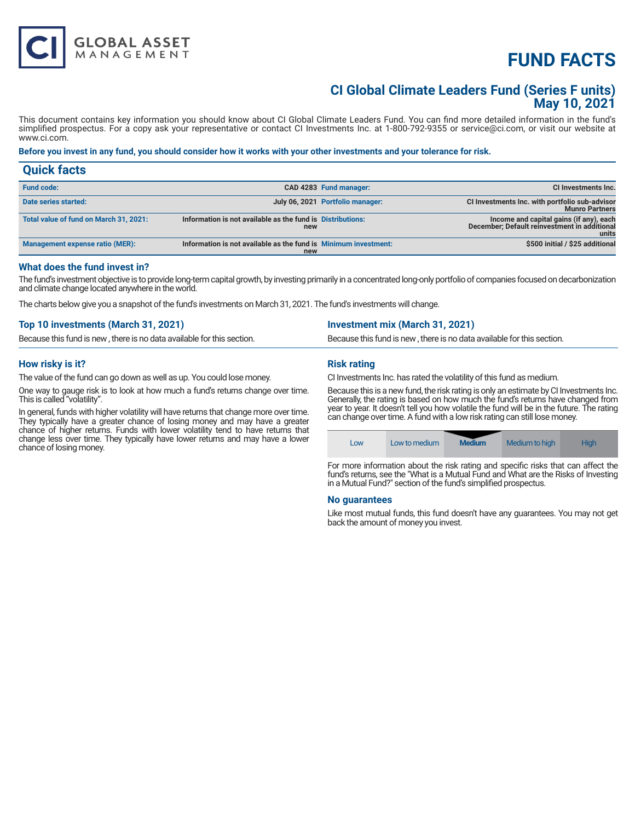# **FUND FACTS**

### **CI Global Climate Leaders Fund (Series F units) May 10, 2021**

This document contains key information you should know about CI Global Climate Leaders Fund. You can find more detailed information in the fund's simplified prospectus. For a copy ask your representative or contact CI Investments Inc. at 1-800-792-9355 or service@ci.com, or visit our website at www.ci.com.

#### **Before you invest in any fund, you should consider how it works with your other investments and your tolerance for risk.**

| <b>Quick facts</b>                     |                                                                        |                                  |                                                                                                  |
|----------------------------------------|------------------------------------------------------------------------|----------------------------------|--------------------------------------------------------------------------------------------------|
| <b>Fund code:</b>                      |                                                                        | CAD 4283 Fund manager:           | CI Investments Inc.                                                                              |
| Date series started:                   |                                                                        | July 06, 2021 Portfolio manager: | CI Investments Inc. with portfolio sub-advisor<br><b>Munro Partners</b>                          |
| Total value of fund on March 31, 2021: | Information is not available as the fund is Distributions:<br>new      |                                  | Income and capital gains (if any), each<br>December; Default reinvestment in additional<br>units |
| <b>Management expense ratio (MER):</b> | Information is not available as the fund is Minimum investment:<br>new |                                  | \$500 initial / \$25 additional                                                                  |

#### **What does the fund invest in?**

The fund's investment objective is to provide long-term capital growth, by investing primarily in a concentrated long-only portfolio of companies focused on decarbonization and climate change located anywhere in the world.

The charts below give you a snapshot of the fund's investments on March 31, 2021. The fund's investments will change.

| Top 10 investments (March 31, 2021)                                    | <b>Investment mix (March 31, 2021)</b>                                 |
|------------------------------------------------------------------------|------------------------------------------------------------------------|
| Because this fund is new, there is no data available for this section. | Because this fund is new, there is no data available for this section. |
|                                                                        |                                                                        |

#### **How risky is it?**

The value of the fund can go down as well as up. You could lose money.

One way to gauge risk is to look at how much a fund's returns change over time. This is called "volatility".

In general, funds with higher volatility will have returns that change more over time. They typically have a greater chance of losing money and may have a greater chance of higher returns. Funds with lower volatility tend to have returns that change less over time. They typically have lower returns and may have a lower chance of losing money.

#### **Risk rating**

CI Investments Inc. has rated the volatility of this fund as medium.

Because this is a new fund, the risk rating is only an estimate by CI Investments Inc. Generally, the rating is based on how much the fund's returns have changed from year to year. It doesn't tell you how volatile the fund will be in the future. The rating can change over time. A fund with a low risk rating can still lose money.

For more information about the risk rating and specific risks that can affect the fund's returns, see the "What is a Mutual Fund and What are the Risks of Investing in a Mutual Fund?" section of the fund's simplified prospectus.

Low Low to medium **Medium** Medium to high High

#### **No guarantees**

Like most mutual funds, this fund doesn't have any guarantees. You may not get back the amount of money you invest.

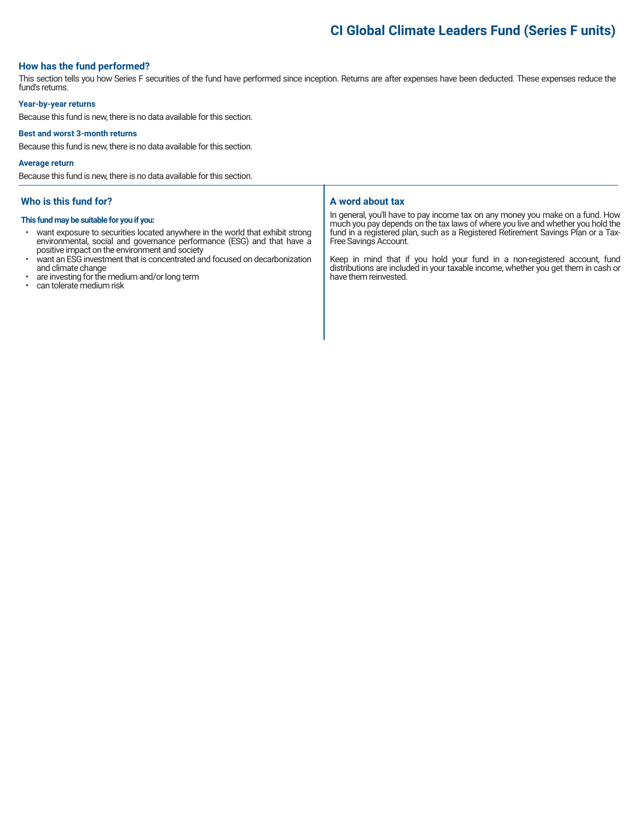## **CI Global Climate Leaders Fund (Series F units)**

#### **How has the fund performed?**

This section tells you how Series F securities of the fund have performed since inception. Returns are after expenses have been deducted. These expenses reduce the fund's returns.

#### **Year-by-year returns**

Because this fund is new, there is no data available for this section.

#### **Best and worst 3-month returns**

Because this fund is new, there is no data available for this section.

#### **Average return**

Because this fund is new, there is no data available for this section.

#### **Who is this fund for?**

#### **This fund may be suitable for you if you:**

- want exposure to securities located anywhere in the world that exhibit strong environmental, social and governance performance (ESG) and that have a positive impact on the environment and society
- want an ESG investment that is concentrated and focused on decarbonization and climate change
- are investing for the medium and/or long term
- can tolerate medium risk

#### **A word about tax**

In general, you'll have to pay income tax on any money you make on a fund. How much you pay depends on the tax laws of where you live and whether you hold the fund in a registered plan, such as a Registered Retirement Savings Plan or a Tax-Free Savings Account.

Keep in mind that if you hold your fund in a non-registered account, fund distributions are included in your taxable income, whether you get them in cash or have them reinvested.